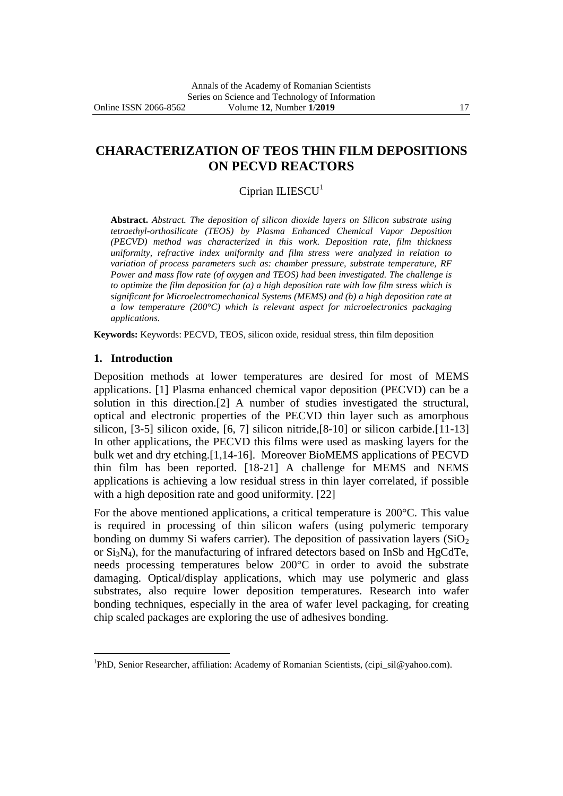# **CHARACTERIZATION OF TEOS THIN FILM DEPOSITIONS ON PECVD REACTORS**

## $Ciprian$  ILIESCU<sup>1</sup>

**Abstract.** *Abstract. The deposition of silicon dioxide layers on Silicon substrate using tetraethyl-orthosilicate (TEOS) by Plasma Enhanced Chemical Vapor Deposition (PECVD) method was characterized in this work. Deposition rate, film thickness uniformity, refractive index uniformity and film stress were analyzed in relation to variation of process parameters such as: chamber pressure, substrate temperature, RF Power and mass flow rate (of oxygen and TEOS) had been investigated. The challenge is to optimize the film deposition for (a) a high deposition rate with low film stress which is significant for Microelectromechanical Systems (MEMS) and (b) a high deposition rate at a low temperature (200°C) which is relevant aspect for microelectronics packaging applications.*

**Keywords:** Keywords: PECVD, TEOS, silicon oxide, residual stress, thin film deposition

### **1. Introduction**

 $\overline{a}$ 

Deposition methods at lower temperatures are desired for most of MEMS applications. [1] Plasma enhanced chemical vapor deposition (PECVD) can be a solution in this direction.[2] A number of studies investigated the structural, optical and electronic properties of the PECVD thin layer such as amorphous silicon, [3-5] silicon oxide, [6, 7] silicon nitride,[8-10] or silicon carbide.[11-13] In other applications, the PECVD this films were used as masking layers for the bulk wet and dry etching.[1,14-16]. Moreover BioMEMS applications of PECVD thin film has been reported. [18-21] A challenge for MEMS and NEMS applications is achieving a low residual stress in thin layer correlated, if possible with a high deposition rate and good uniformity. [22]

For the above mentioned applications, a critical temperature is 200°C. This value is required in processing of thin silicon wafers (using polymeric temporary bonding on dummy Si wafers carrier). The deposition of passivation layers  $(SiO<sub>2</sub>)$ or Si3N4), for the manufacturing of infrared detectors based on InSb and HgCdTe, needs processing temperatures below 200°C in order to avoid the substrate damaging. Optical/display applications, which may use polymeric and glass substrates, also require lower deposition temperatures. Research into wafer bonding techniques, especially in the area of wafer level packaging, for creating chip scaled packages are exploring the use of adhesives bonding.

<sup>&</sup>lt;sup>1</sup>PhD, Senior Researcher, affiliation: Academy of Romanian Scientists, (cipi\_sil@yahoo.com).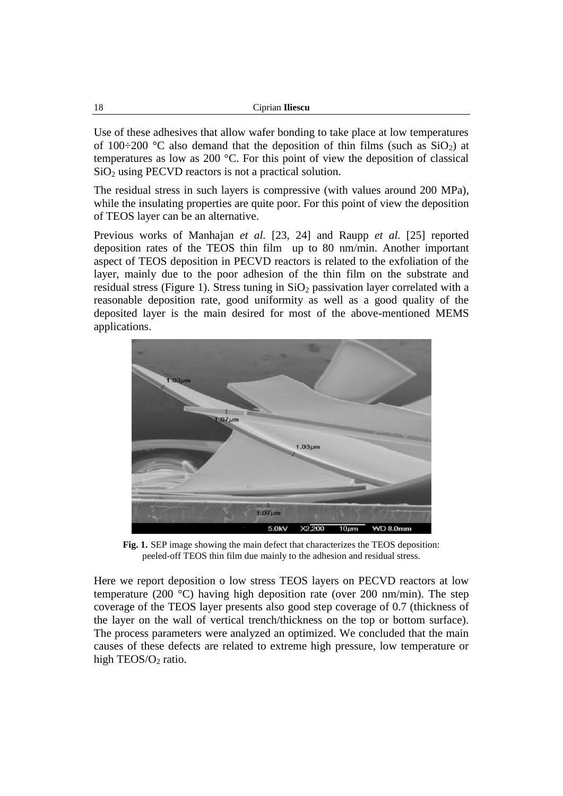| Ciprian Iliescu |
|-----------------|
|                 |

Use of these adhesives that allow wafer bonding to take place at low temperatures of 100÷200 °C also demand that the deposition of thin films (such as  $SiO<sub>2</sub>$ ) at temperatures as low as 200 °C. For this point of view the deposition of classical  $SiO<sub>2</sub>$  using PECVD reactors is not a practical solution.

The residual stress in such layers is compressive (with values around 200 MPa), while the insulating properties are quite poor. For this point of view the deposition of TEOS layer can be an alternative.

Previous works of Manhajan *et al.* [23, 24] and Raupp *et al.* [25] reported deposition rates of the TEOS thin film up to 80 nm/min. Another important aspect of TEOS deposition in PECVD reactors is related to the exfoliation of the layer, mainly due to the poor adhesion of the thin film on the substrate and residual stress (Figure 1). Stress tuning in  $SiO<sub>2</sub>$  passivation layer correlated with a reasonable deposition rate, good uniformity as well as a good quality of the deposited layer is the main desired for most of the above-mentioned MEMS applications.



**Fig. 1.** SEP image showing the main defect that characterizes the TEOS deposition: peeled-off TEOS thin film due mainly to the adhesion and residual stress.

Here we report deposition o low stress TEOS layers on PECVD reactors at low temperature (200 °C) having high deposition rate (over 200 nm/min). The step coverage of the TEOS layer presents also good step coverage of 0.7 (thickness of the layer on the wall of vertical trench/thickness on the top or bottom surface). The process parameters were analyzed an optimized. We concluded that the main causes of these defects are related to extreme high pressure, low temperature or high  $TEOS/O<sub>2</sub>$  ratio.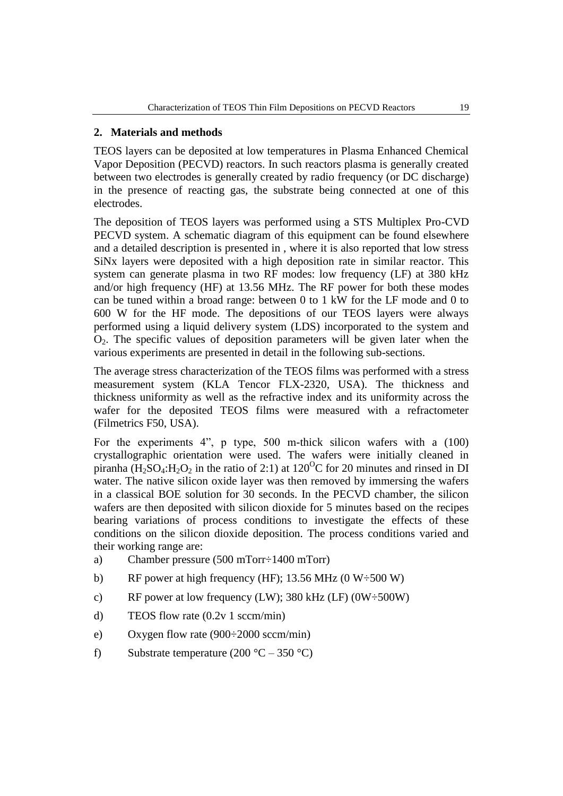### **2. Materials and methods**

TEOS layers can be deposited at low temperatures in Plasma Enhanced Chemical Vapor Deposition (PECVD) reactors. In such reactors plasma is generally created between two electrodes is generally created by radio frequency (or DC discharge) in the presence of reacting gas, the substrate being connected at one of this electrodes.

The deposition of TEOS layers was performed using a STS Multiplex Pro-CVD PECVD system. A schematic diagram of this equipment can be found elsewhere and a detailed description is presented in , where it is also reported that low stress SiNx layers were deposited with a high deposition rate in similar reactor. This system can generate plasma in two RF modes: low frequency (LF) at 380 kHz and/or high frequency (HF) at 13.56 MHz. The RF power for both these modes can be tuned within a broad range: between 0 to 1 kW for the LF mode and 0 to 600 W for the HF mode. The depositions of our TEOS layers were always performed using a liquid delivery system (LDS) incorporated to the system and  $O<sub>2</sub>$ . The specific values of deposition parameters will be given later when the various experiments are presented in detail in the following sub-sections.

The average stress characterization of the TEOS films was performed with a stress measurement system (KLA Tencor FLX-2320, USA). The thickness and thickness uniformity as well as the refractive index and its uniformity across the wafer for the deposited TEOS films were measured with a refractometer (Filmetrics F50, USA).

For the experiments 4<sup>"</sup>, p type, 500 m-thick silicon wafers with a (100) crystallographic orientation were used. The wafers were initially cleaned in piranha (H<sub>2</sub>SO<sub>4</sub>:H<sub>2</sub>O<sub>2</sub> in the ratio of 2:1) at 120<sup>O</sup>C for 20 minutes and rinsed in DI water. The native silicon oxide layer was then removed by immersing the wafers in a classical BOE solution for 30 seconds. In the PECVD chamber, the silicon wafers are then deposited with silicon dioxide for 5 minutes based on the recipes bearing variations of process conditions to investigate the effects of these conditions on the silicon dioxide deposition. The process conditions varied and their working range are:

- a) Chamber pressure (500 mTorr÷1400 mTorr)
- b) RF power at high frequency (HF); 13.56 MHz (0 W $\div$ 500 W)
- c) RF power at low frequency (LW);  $380 \text{ kHz (LF)} (0W \div 500W)$
- d) TEOS flow rate (0.2v 1 sccm/min)
- e) Oxygen flow rate (900÷2000 sccm/min)
- f) Substrate temperature  $(200 °C 350 °C)$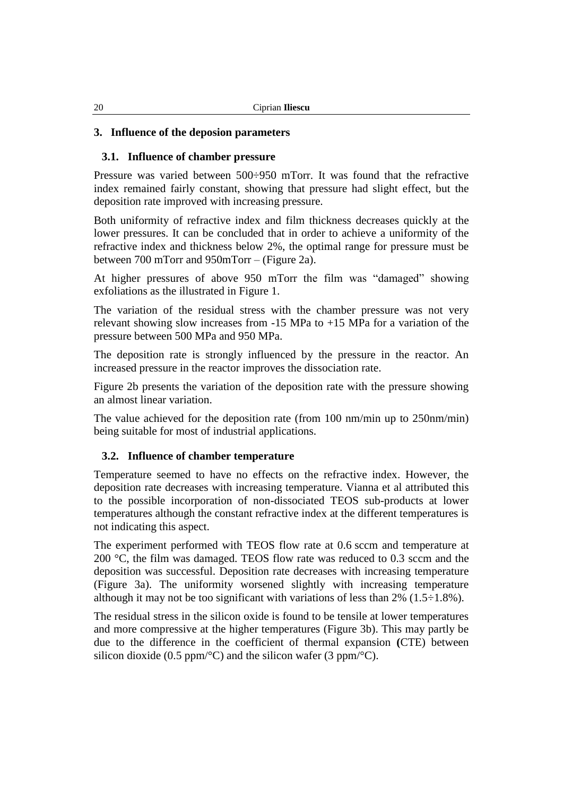### **3. Influence of the deposion parameters**

### **3.1. Influence of chamber pressure**

Pressure was varied between 500÷950 mTorr. It was found that the refractive index remained fairly constant, showing that pressure had slight effect, but the deposition rate improved with increasing pressure.

Both uniformity of refractive index and film thickness decreases quickly at the lower pressures. It can be concluded that in order to achieve a uniformity of the refractive index and thickness below 2%, the optimal range for pressure must be between 700 mTorr and 950mTorr – (Figure 2a).

At higher pressures of above 950 mTorr the film was "damaged" showing exfoliations as the illustrated in Figure 1.

The variation of the residual stress with the chamber pressure was not very relevant showing slow increases from -15 MPa to +15 MPa for a variation of the pressure between 500 MPa and 950 MPa.

The deposition rate is strongly influenced by the pressure in the reactor. An increased pressure in the reactor improves the dissociation rate.

Figure 2b presents the variation of the deposition rate with the pressure showing an almost linear variation.

The value achieved for the deposition rate (from 100 nm/min up to 250nm/min) being suitable for most of industrial applications.

#### **3.2. Influence of chamber temperature**

Temperature seemed to have no effects on the refractive index. However, the deposition rate decreases with increasing temperature. Vianna et al attributed this to the possible incorporation of non-dissociated TEOS sub-products at lower temperatures although the constant refractive index at the different temperatures is not indicating this aspect.

The experiment performed with TEOS flow rate at 0.6 sccm and temperature at 200 °C, the film was damaged. TEOS flow rate was reduced to 0.3 sccm and the deposition was successful. Deposition rate decreases with increasing temperature (Figure 3a). The uniformity worsened slightly with increasing temperature although it may not be too significant with variations of less than  $2\%$  (1.5÷1.8%).

The residual stress in the silicon oxide is found to be tensile at lower temperatures and more compressive at the higher temperatures (Figure 3b). This may partly be due to the difference in the coefficient of thermal expansion **(**CTE) between silicon dioxide (0.5 ppm/ $\textdegree$ C) and the silicon wafer (3 ppm/ $\textdegree$ C).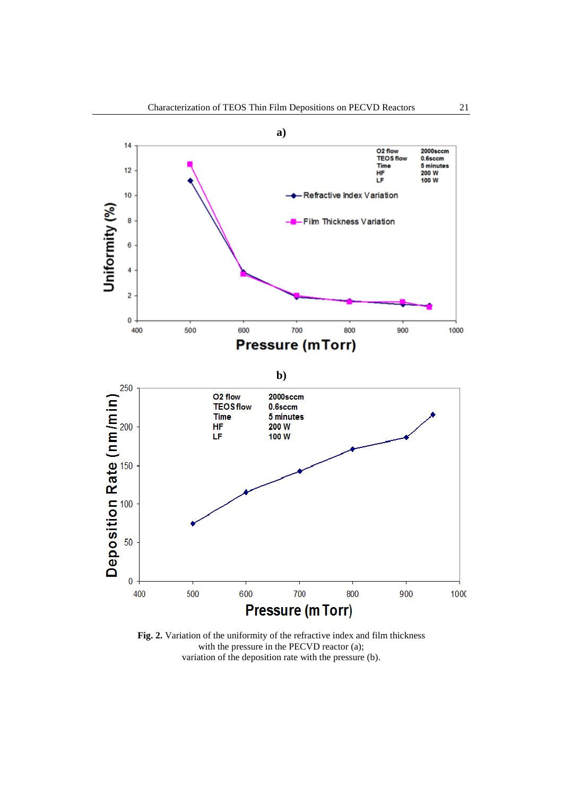

**Fig. 2.** Variation of the uniformity of the refractive index and film thickness with the pressure in the PECVD reactor (a); variation of the deposition rate with the pressure (b).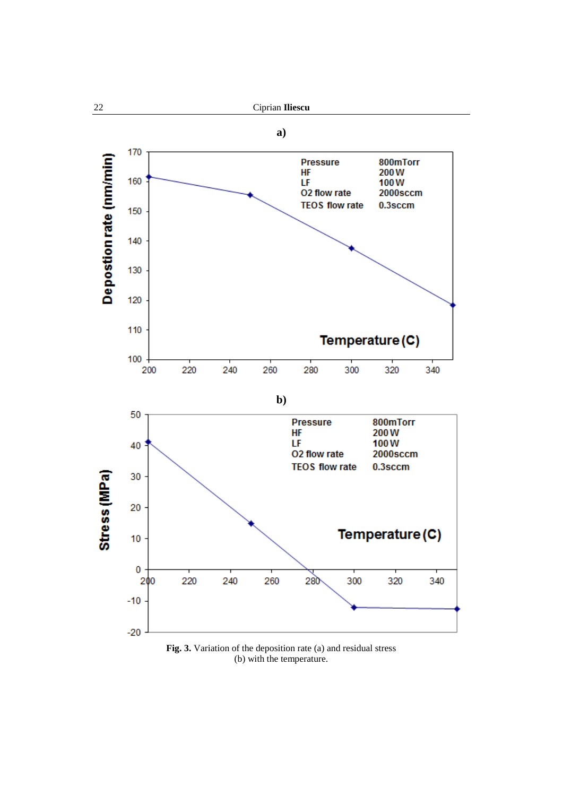

**Fig. 3.** Variation of the deposition rate (a) and residual stress (b) with the temperature.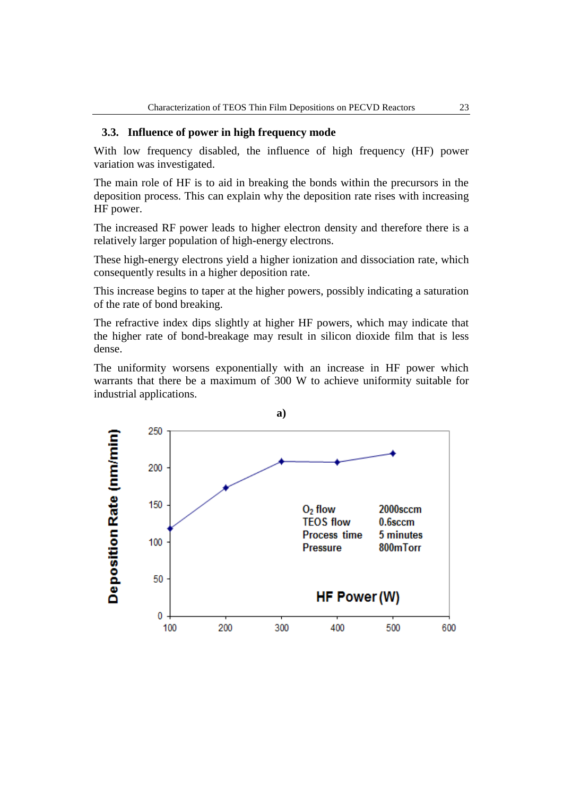### **3.3. Influence of power in high frequency mode**

With low frequency disabled, the influence of high frequency (HF) power variation was investigated.

The main role of HF is to aid in breaking the bonds within the precursors in the deposition process. This can explain why the deposition rate rises with increasing HF power.

The increased RF power leads to higher electron density and therefore there is a relatively larger population of high-energy electrons.

These high-energy electrons yield a higher ionization and dissociation rate, which consequently results in a higher deposition rate.

This increase begins to taper at the higher powers, possibly indicating a saturation of the rate of bond breaking.

The refractive index dips slightly at higher HF powers, which may indicate that the higher rate of bond-breakage may result in silicon dioxide film that is less dense.

The uniformity worsens exponentially with an increase in HF power which warrants that there be a maximum of 300 W to achieve uniformity suitable for industrial applications.

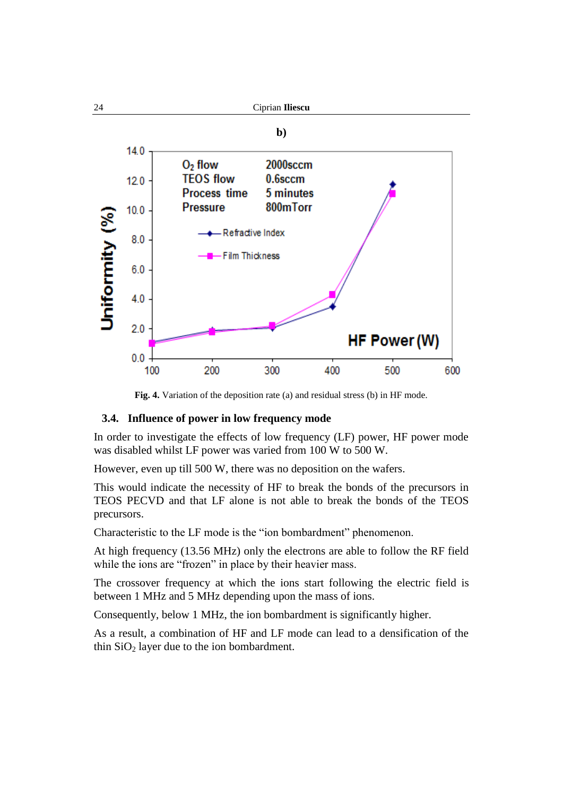![](_page_7_Figure_0.jpeg)

**Fig. 4.** Variation of the deposition rate (a) and residual stress (b) in HF mode.

### **3.4. Influence of power in low frequency mode**

In order to investigate the effects of low frequency (LF) power, HF power mode was disabled whilst LF power was varied from 100 W to 500 W.

However, even up till 500 W, there was no deposition on the wafers.

This would indicate the necessity of HF to break the bonds of the precursors in TEOS PECVD and that LF alone is not able to break the bonds of the TEOS precursors.

Characteristic to the LF mode is the "ion bombardment" phenomenon.

At high frequency (13.56 MHz) only the electrons are able to follow the RF field while the ions are "frozen" in place by their heavier mass.

The crossover frequency at which the ions start following the electric field is between 1 MHz and 5 MHz depending upon the mass of ions.

Consequently, below 1 MHz, the ion bombardment is significantly higher.

As a result, a combination of HF and LF mode can lead to a densification of the thin  $SiO<sub>2</sub>$  layer due to the ion bombardment.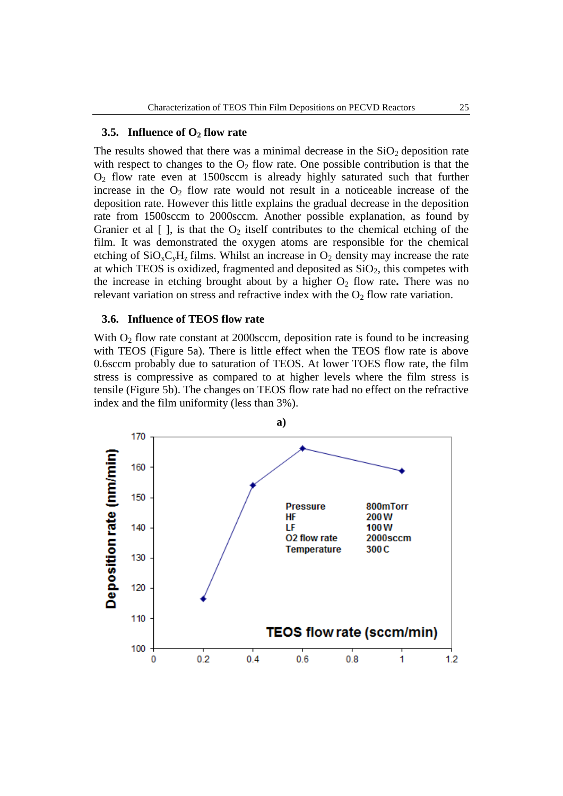#### **3.5. Influence of O<sup>2</sup> flow rate**

The results showed that there was a minimal decrease in the  $SiO<sub>2</sub>$  deposition rate with respect to changes to the  $O_2$  flow rate. One possible contribution is that the  $O<sub>2</sub>$  flow rate even at 1500sccm is already highly saturated such that further increase in the  $O_2$  flow rate would not result in a noticeable increase of the deposition rate. However this little explains the gradual decrease in the deposition rate from 1500sccm to 2000sccm. Another possible explanation, as found by Granier et al  $[$ ], is that the  $O_2$  itself contributes to the chemical etching of the film. It was demonstrated the oxygen atoms are responsible for the chemical etching of  $SiO<sub>x</sub>C<sub>y</sub>H<sub>z</sub>$  films. Whilst an increase in  $O<sub>2</sub>$  density may increase the rate at which TEOS is oxidized, fragmented and deposited as  $SiO<sub>2</sub>$ , this competes with the increase in etching brought about by a higher  $O_2$  flow rate. There was no relevant variation on stress and refractive index with the  $O_2$  flow rate variation.

#### **3.6. Influence of TEOS flow rate**

With  $O<sub>2</sub>$  flow rate constant at 2000sccm, deposition rate is found to be increasing with TEOS (Figure 5a). There is little effect when the TEOS flow rate is above 0.6sccm probably due to saturation of TEOS. At lower TOES flow rate, the film stress is compressive as compared to at higher levels where the film stress is tensile (Figure 5b). The changes on TEOS flow rate had no effect on the refractive index and the film uniformity (less than 3%).

![](_page_8_Figure_5.jpeg)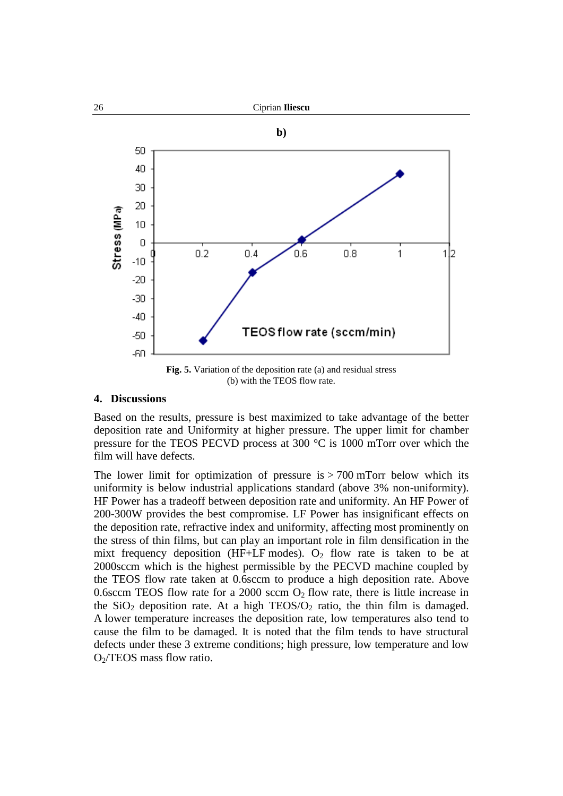![](_page_9_Figure_0.jpeg)

**Fig. 5.** Variation of the deposition rate (a) and residual stress (b) with the TEOS flow rate.

#### **4. Discussions**

Based on the results, pressure is best maximized to take advantage of the better deposition rate and Uniformity at higher pressure. The upper limit for chamber pressure for the TEOS PECVD process at 300  $^{\circ}$ C is 1000 mTorr over which the film will have defects.

The lower limit for optimization of pressure is  $> 700$  mTorr below which its uniformity is below industrial applications standard (above 3% non-uniformity). HF Power has a tradeoff between deposition rate and uniformity. An HF Power of 200-300W provides the best compromise. LF Power has insignificant effects on the deposition rate, refractive index and uniformity, affecting most prominently on the stress of thin films, but can play an important role in film densification in the mixt frequency deposition (HF+LF modes).  $O_2$  flow rate is taken to be at 2000sccm which is the highest permissible by the PECVD machine coupled by the TEOS flow rate taken at 0.6sccm to produce a high deposition rate. Above 0.6sccm TEOS flow rate for a 2000 sccm  $O_2$  flow rate, there is little increase in the  $SiO<sub>2</sub>$  deposition rate. At a high TEOS/ $O<sub>2</sub>$  ratio, the thin film is damaged. A lower temperature increases the deposition rate, low temperatures also tend to cause the film to be damaged. It is noted that the film tends to have structural defects under these 3 extreme conditions; high pressure, low temperature and low  $O<sub>2</sub>/TEOS$  mass flow ratio.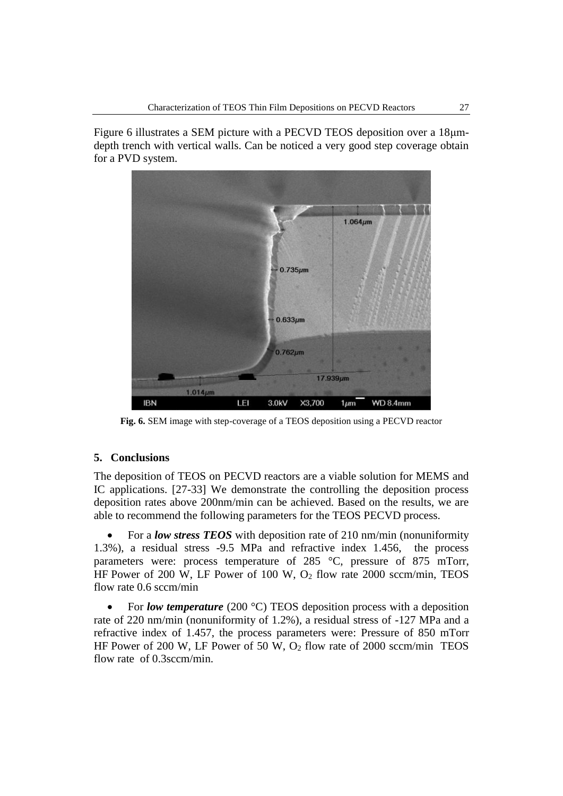Figure 6 illustrates a SEM picture with a PECVD TEOS deposition over a 18μmdepth trench with vertical walls. Can be noticed a very good step coverage obtain for a PVD system.

![](_page_10_Figure_2.jpeg)

**Fig. 6.** SEM image with step-coverage of a TEOS deposition using a PECVD reactor

#### **5. Conclusions**

The deposition of TEOS on PECVD reactors are a viable solution for MEMS and IC applications. [27-33] We demonstrate the controlling the deposition process deposition rates above 200nm/min can be achieved. Based on the results, we are able to recommend the following parameters for the TEOS PECVD process.

• For a *low stress TEOS* with deposition rate of 210 nm/min (nonuniformity 1.3%), a residual stress -9.5 MPa and refractive index 1.456, the process parameters were: process temperature of 285 °C, pressure of 875 mTorr, HF Power of 200 W, LF Power of 100 W,  $O_2$  flow rate 2000 sccm/min, TEOS flow rate 0.6 sccm/min

• For *low temperature* (200 °C) TEOS deposition process with a deposition rate of 220 nm/min (nonuniformity of 1.2%), a residual stress of -127 MPa and a refractive index of 1.457, the process parameters were: Pressure of 850 mTorr HF Power of 200 W, LF Power of 50 W,  $O_2$  flow rate of 2000 sccm/min TEOS flow rate of 0.3sccm/min.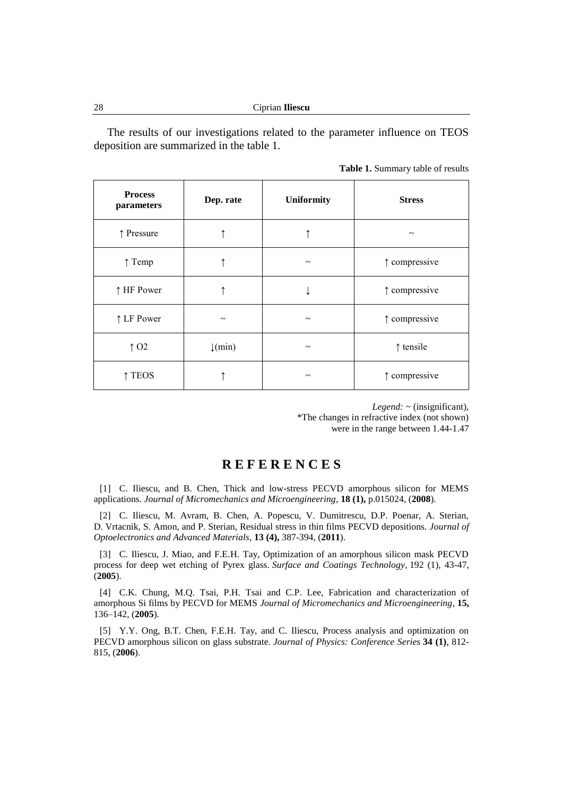The results of our investigations related to the parameter influence on TEOS deposition are summarized in the table 1.

|  | Table 1. Summary table of results |  |  |  |
|--|-----------------------------------|--|--|--|
|--|-----------------------------------|--|--|--|

| <b>Process</b><br>parameters | Dep. rate             | <b>Uniformity</b>     | <b>Stress</b>          |
|------------------------------|-----------------------|-----------------------|------------------------|
| ↑ Pressure                   |                       |                       | $\tilde{\phantom{a}}$  |
| $\uparrow$ Temp              |                       | $\tilde{\phantom{a}}$ | $\uparrow$ compressive |
| ↑ HF Power                   |                       |                       | $\uparrow$ compressive |
| ↑ LF Power                   | $\tilde{\phantom{a}}$ | $\tilde{\phantom{a}}$ | $\uparrow$ compressive |
| $\uparrow$ O <sub>2</sub>    | $\downarrow$ (min)    | $\tilde{}$            | $\uparrow$ tensile     |
| <b>TEOS</b>                  |                       | $\tilde{}$            | ↑ compressive          |

*Legend:* ~ (insignificant), \*The changes in refractive index (not shown) were in the range between 1.44-1.47

# **R E F E R E N C E S**

[1] C. Iliescu, and B. Chen, Thick and low-stress PECVD amorphous silicon for MEMS applications. *Journal of Micromechanics and Microengineering*, **18 (1),** p.015024, (**2008**).

[2] C. Iliescu, M. Avram, B. Chen, A. Popescu, V. Dumitrescu, D.P. Poenar, A. Sterian, D. Vrtacnik, S. Amon, and P. Sterian, Residual stress in thin films PECVD depositions. *Journal of Optoelectronics and Advanced Materials*, **13 (4),** 387-394, (**2011**).

[3] C. Iliescu, J. Miao, and F.E.H. Tay, Optimization of an amorphous silicon mask PECVD process for deep wet etching of Pyrex glass. *Surface and Coatings Technology*, 192 (1), 43-47, (**2005**).

[4] C.K. Chung, M.Q. Tsai, P.H. Tsai and C.P. Lee, Fabrication and characterization of amorphous Si films by PECVD for MEMS *Journal of Micromechanics and Microengineering*, **15,**  136–142, (**2005**).

[5] Y.Y. Ong, B.T. Chen, F.E.H. Tay, and C. Iliescu, Process analysis and optimization on PECVD amorphous silicon on glass substrate. *Journal of Physics: Conference Series* **34 (1)**, 812- 815, (**2006**).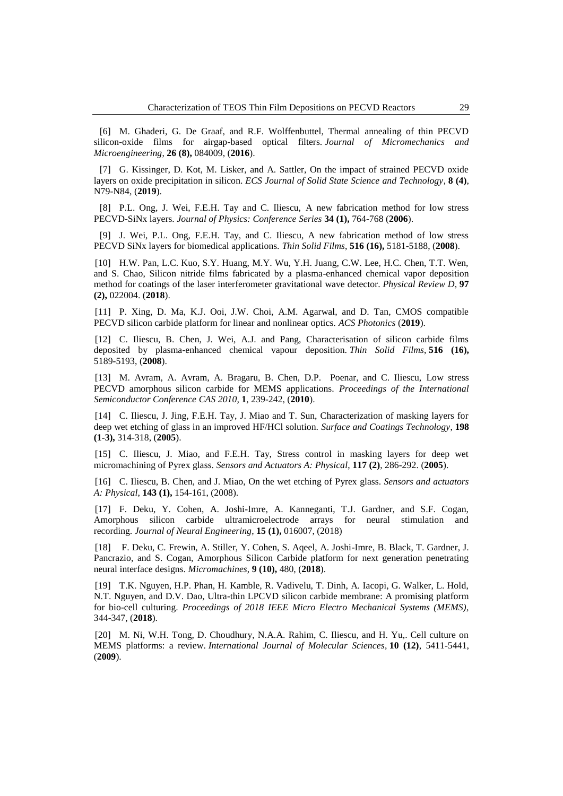[6] M. Ghaderi, G. De Graaf, and R.F. Wolffenbuttel, Thermal annealing of thin PECVD silicon-oxide films for airgap-based optical filters. *Journal of Micromechanics and Microengineering*, **26 (8),** 084009, (**2016**).

[7] G. Kissinger, D. Kot, M. Lisker, and A. Sattler, On the impact of strained PECVD oxide layers on oxide precipitation in silicon. *ECS Journal of Solid State Science and Technology*, **8 (4)**, N79-N84, (**2019**).

[8] P.L. Ong, J. Wei, F.E.H. Tay and C. Iliescu, A new fabrication method for low stress PECVD-SiNx layers. *Journal of Physics: Conference Series* **34 (1),** 764-768 (**2006**).

[9] J. Wei, P.L. Ong, F.E.H. Tay, and C. Iliescu, A new fabrication method of low stress PECVD SiNx layers for biomedical applications. *Thin Solid Films*, **516 (16),** 5181-5188, (**2008**).

[10] H.W. Pan, L.C. Kuo, S.Y. Huang, M.Y. Wu, Y.H. Juang, C.W. Lee, H.C. Chen, T.T. Wen, and S. Chao, Silicon nitride films fabricated by a plasma-enhanced chemical vapor deposition method for coatings of the laser interferometer gravitational wave detector. *Physical Review D*, **97 (2),** 022004. (**2018**).

[11] P. Xing, D. Ma, K.J. Ooi, J.W. Choi, A.M. Agarwal, and D. Tan, CMOS compatible PECVD silicon carbide platform for linear and nonlinear optics. *ACS Photonics* (**2019**).

[12] C. Iliescu, B. Chen, J. Wei, A.J. and Pang, Characterisation of silicon carbide films deposited by plasma-enhanced chemical vapour deposition. *Thin Solid Films*, **516 (16),** 5189-5193, (**2008**).

[13] M. Avram, A. Avram, A. Bragaru, B. Chen, D.P. Poenar, and C. Iliescu, Low stress PECVD amorphous silicon carbide for MEMS applications. *Proceedings of the International Semiconductor Conference CAS 2010,* **1**, 239-242, (**2010**).

[14] C. Iliescu, J. Jing, F.E.H. Tay, J. Miao and T. Sun, Characterization of masking layers for deep wet etching of glass in an improved HF/HCl solution. *Surface and Coatings Technology*, **198 (1-3),** 314-318, (**2005**).

[15] C. Iliescu, J. Miao, and F.E.H. Tay, Stress control in masking layers for deep wet micromachining of Pyrex glass. *Sensors and Actuators A: Physical*, **117 (2)**, 286-292. (**2005**).

[16] C. Iliescu, B. Chen, and J. Miao, On the wet etching of Pyrex glass. *Sensors and actuators A: Physical*, **143 (1),** 154-161, (2008).

[17] F. Deku, Y. Cohen, A. Joshi-Imre, A. Kanneganti, T.J. Gardner, and S.F. Cogan, Amorphous silicon carbide ultramicroelectrode arrays for neural stimulation recording. *Journal of Neural Engineering*, **15 (1),** 016007, (2018)

[18] F. Deku, C. Frewin, A. Stiller, Y. Cohen, S. Aqeel, A. Joshi-Imre, B. Black, T. Gardner, J. Pancrazio, and S. Cogan, Amorphous Silicon Carbide platform for next generation penetrating neural interface designs. *Micromachines*, **9 (10),** 480, (**2018**).

[19] T.K. Nguyen, H.P. Phan, H. Kamble, R. Vadivelu, T. Dinh, A. Iacopi, G. Walker, L. Hold, N.T. Nguyen, and D.V. Dao, Ultra-thin LPCVD silicon carbide membrane: A promising platform for bio-cell culturing. *Proceedings of 2018 IEEE Micro Electro Mechanical Systems (MEMS)*, 344-347, (**2018**).

[20] M. Ni, W.H. Tong, D. Choudhury, N.A.A. Rahim, C. Iliescu, and H. Yu,. Cell culture on MEMS platforms: a review. *International Journal of Molecular Sciences*, **10 (12)**, 5411-5441, (**2009**).